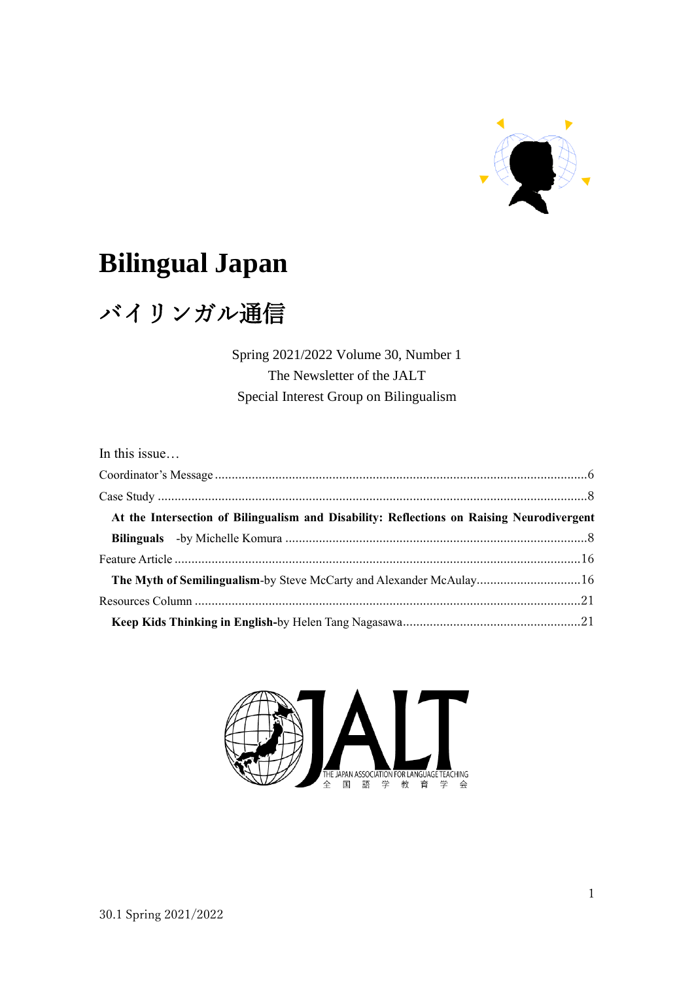

# **Bilingual Japan**

# バイリンガル通信

Spring 2021/2022 Volume 30, Number 1 The Newsletter of the JALT Special Interest Group on Bilingualism

| In this issue                                                                             |  |
|-------------------------------------------------------------------------------------------|--|
|                                                                                           |  |
|                                                                                           |  |
| At the Intersection of Bilingualism and Disability: Reflections on Raising Neurodivergent |  |
|                                                                                           |  |
|                                                                                           |  |
| The Myth of Semilingualism-by Steve McCarty and Alexander McAulay16                       |  |
|                                                                                           |  |
|                                                                                           |  |

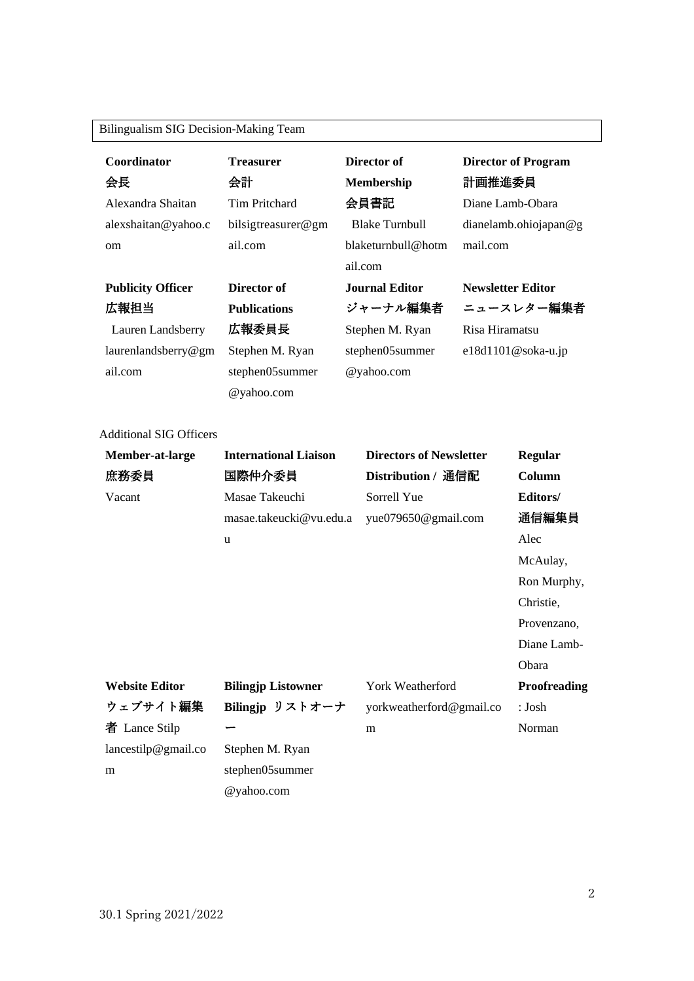### Bilingualism SIG Decision-Making Team

| Coordinator<br>会長<br>Alexandra Shaitan                                                                                                                                                                                                                                | <b>Treasurer</b><br>会計<br>Tim Pritchard | Director of<br><b>Membership</b><br>会員書記                                                   | <b>Director of Program</b><br>計画推進委員<br>Diane Lamb-Obara |
|-----------------------------------------------------------------------------------------------------------------------------------------------------------------------------------------------------------------------------------------------------------------------|-----------------------------------------|--------------------------------------------------------------------------------------------|----------------------------------------------------------|
| alexshaitan@yahoo.c                                                                                                                                                                                                                                                   | bilsigtreasurer@gm                      | <b>Blake Turnbull</b>                                                                      | dianelamb.ohiojapan@g                                    |
| om                                                                                                                                                                                                                                                                    | ail.com                                 | blaketurnbull@hotm<br>ail.com                                                              | mail.com                                                 |
| <b>Publicity Officer</b>                                                                                                                                                                                                                                              | Director of                             | Journal Editor                                                                             | <b>Newsletter Editor</b>                                 |
| 広報担当                                                                                                                                                                                                                                                                  | <b>Publications</b>                     | ジャーナル編集者                                                                                   | ニュースレター編集者                                               |
| Lauren Landsberry                                                                                                                                                                                                                                                     | 広報委員長                                   | Stephen M. Ryan                                                                            | Risa Hiramatsu                                           |
| laurenlandsberry@gm                                                                                                                                                                                                                                                   | Stephen M. Ryan                         | stephen05summer                                                                            | $e18d1101@soka-u.jp$                                     |
| ail.com                                                                                                                                                                                                                                                               | stephen05summer                         | @yahoo.com                                                                                 |                                                          |
|                                                                                                                                                                                                                                                                       | @yahoo.com                              |                                                                                            |                                                          |
| <b>Additional SIG Officers</b><br><b>Model of Languary Contract Contract Contract Contract Contract Contract Contract Contract Contract Contract Contract Contract Contract Contract Contract Contract Contract Contract Contract Contract Contract Contract Cont</b> |                                         | $\mathbf{D}^*$ and $\mathbf{D}^*$ are $\mathbf{P}^*$ and $\mathbf{D}^*$ and $\mathbf{D}^*$ |                                                          |

| Member-at-large       | <b>International Liaison</b> | <b>Directors of Newsletter</b> | <b>Regular</b> |
|-----------------------|------------------------------|--------------------------------|----------------|
| 庶務委員                  | 国際仲介委員                       | Distribution / 通信配             | Column         |
| Vacant                | Masae Takeuchi               | Sorrell Yue                    | Editors/       |
|                       | masae.takeucki@vu.edu.a      | yue079650@gmail.com            | 通信編集員          |
|                       | u                            |                                | Alec           |
|                       |                              |                                | McAulay,       |
|                       |                              |                                | Ron Murphy,    |
|                       |                              |                                | Christie,      |
|                       |                              |                                | Provenzano,    |
|                       |                              |                                | Diane Lamb-    |
|                       |                              |                                | Obara          |
| <b>Website Editor</b> | <b>Bilingjp Listowner</b>    | York Weatherford               | Proofreading   |
| ウェブサイト編集              | Bilingjp リストオーナ              | yorkweatherford@gmail.co       | : Josh         |
| 者 Lance Stilp         |                              | m                              | Norman         |
| lancestilp@gmail.co   | Stephen M. Ryan              |                                |                |
| m                     | stephen05summer              |                                |                |
|                       | @yahoo.com                   |                                |                |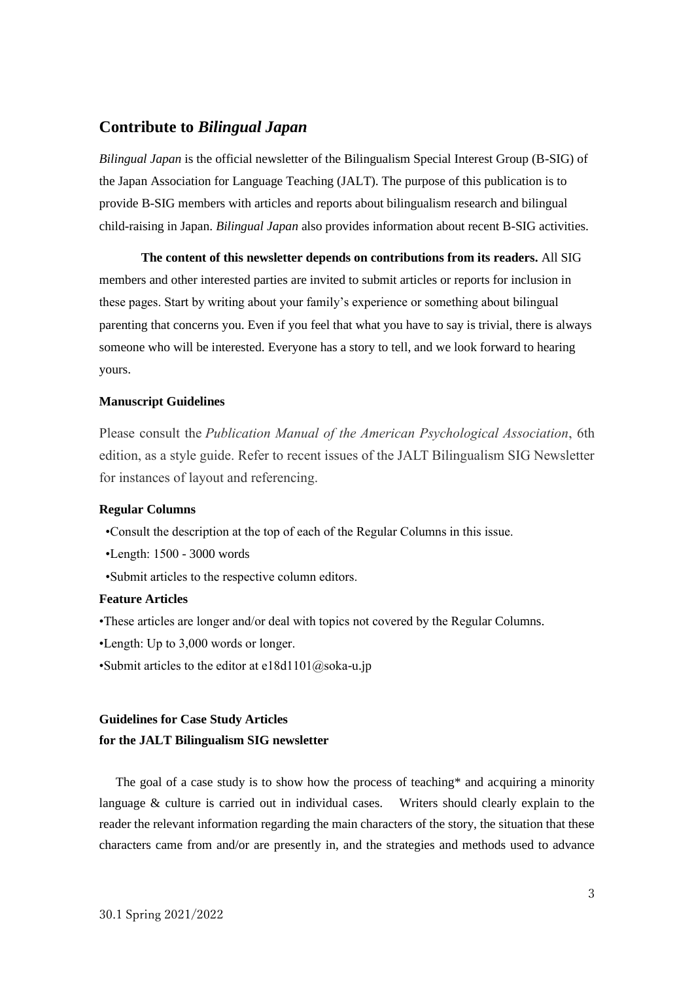### **Contribute to** *Bilingual Japan*

*Bilingual Japan* is the official newsletter of the Bilingualism Special Interest Group (B-SIG) of the Japan Association for Language Teaching (JALT). The purpose of this publication is to provide B-SIG members with articles and reports about bilingualism research and bilingual child-raising in Japan. *Bilingual Japan* also provides information about recent B-SIG activities.

**The content of this newsletter depends on contributions from its readers.** All SIG members and other interested parties are invited to submit articles or reports for inclusion in these pages. Start by writing about your family's experience or something about bilingual parenting that concerns you. Even if you feel that what you have to say is trivial, there is always someone who will be interested. Everyone has a story to tell, and we look forward to hearing yours.

#### **Manuscript Guidelines**

Please consult the *Publication Manual of the American Psychological Association*, 6th edition, as a style guide. Refer to recent issues of the JALT Bilingualism SIG Newsletter for instances of layout and referencing.

#### **Regular Columns**

•Consult the description at the top of each of the Regular Columns in this issue.

•Length: 1500 - 3000 words

•Submit articles to the respective column editors.

#### **Feature Articles**

•These articles are longer and/or deal with topics not covered by the Regular Columns.

- •Length: Up to 3,000 words or longer.
- •Submit articles to the editor at  $e18d1101@soka-u.jp$

## **Guidelines for Case Study Articles for the JALT Bilingualism SIG newsletter**

The goal of a case study is to show how the process of teaching\* and acquiring a minority language & culture is carried out in individual cases. Writers should clearly explain to the reader the relevant information regarding the main characters of the story, the situation that these characters came from and/or are presently in, and the strategies and methods used to advance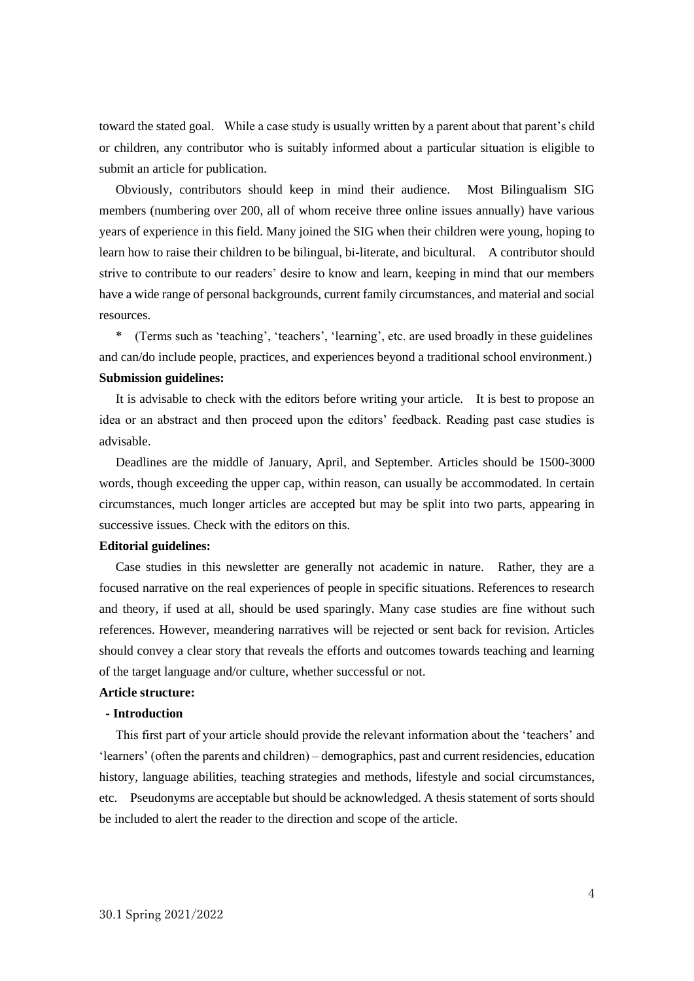toward the stated goal. While a case study is usually written by a parent about that parent's child or children, any contributor who is suitably informed about a particular situation is eligible to submit an article for publication.

Obviously, contributors should keep in mind their audience. Most Bilingualism SIG members (numbering over 200, all of whom receive three online issues annually) have various years of experience in this field. Many joined the SIG when their children were young, hoping to learn how to raise their children to be bilingual, bi-literate, and bicultural. A contributor should strive to contribute to our readers' desire to know and learn, keeping in mind that our members have a wide range of personal backgrounds, current family circumstances, and material and social resources.

\* (Terms such as 'teaching', 'teachers', 'learning', etc. are used broadly in these guidelines and can/do include people, practices, and experiences beyond a traditional school environment.) **Submission guidelines:**

It is advisable to check with the editors before writing your article. It is best to propose an idea or an abstract and then proceed upon the editors' feedback. Reading past case studies is advisable.

Deadlines are the middle of January, April, and September. Articles should be 1500-3000 words, though exceeding the upper cap, within reason, can usually be accommodated. In certain circumstances, much longer articles are accepted but may be split into two parts, appearing in successive issues. Check with the editors on this.

#### **Editorial guidelines:**

Case studies in this newsletter are generally not academic in nature. Rather, they are a focused narrative on the real experiences of people in specific situations. References to research and theory, if used at all, should be used sparingly. Many case studies are fine without such references. However, meandering narratives will be rejected or sent back for revision. Articles should convey a clear story that reveals the efforts and outcomes towards teaching and learning of the target language and/or culture, whether successful or not.

#### **Article structure:**

#### **- Introduction**

This first part of your article should provide the relevant information about the 'teachers' and 'learners' (often the parents and children) – demographics, past and current residencies, education history, language abilities, teaching strategies and methods, lifestyle and social circumstances, etc. Pseudonyms are acceptable but should be acknowledged. A thesis statement of sorts should be included to alert the reader to the direction and scope of the article.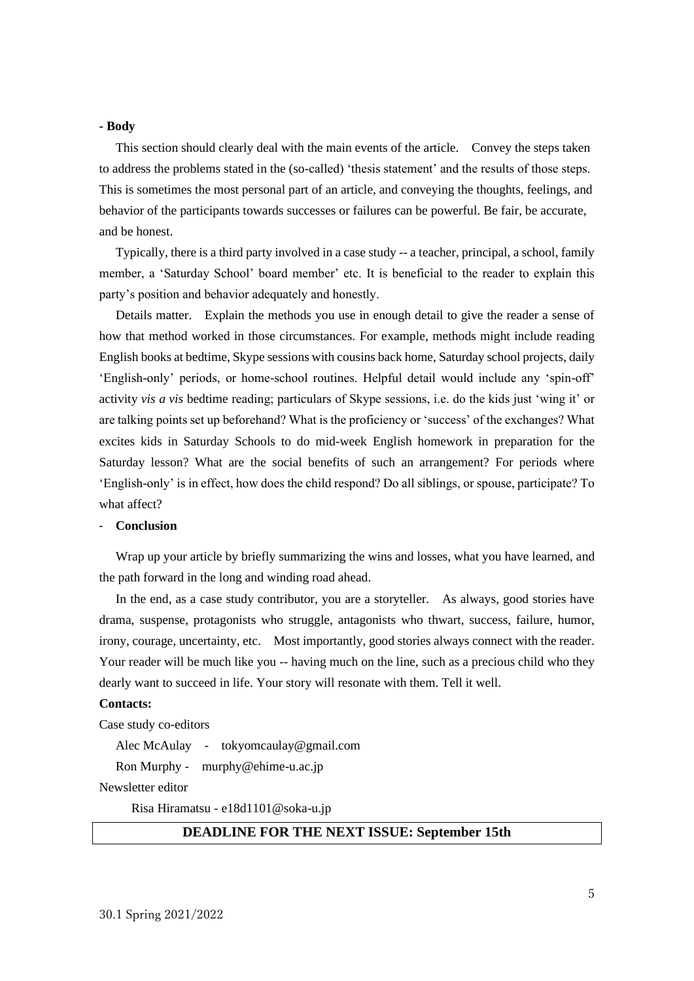#### **- Body**

This section should clearly deal with the main events of the article. Convey the steps taken to address the problems stated in the (so-called) 'thesis statement' and the results of those steps. This is sometimes the most personal part of an article, and conveying the thoughts, feelings, and behavior of the participants towards successes or failures can be powerful. Be fair, be accurate, and be honest.

Typically, there is a third party involved in a case study -- a teacher, principal, a school, family member, a 'Saturday School' board member' etc. It is beneficial to the reader to explain this party's position and behavior adequately and honestly.

Details matter. Explain the methods you use in enough detail to give the reader a sense of how that method worked in those circumstances. For example, methods might include reading English books at bedtime, Skype sessions with cousins back home, Saturday school projects, daily 'English-only' periods, or home-school routines. Helpful detail would include any 'spin-off' activity *vis a vis* bedtime reading; particulars of Skype sessions, i.e. do the kids just 'wing it' or are talking points set up beforehand? What is the proficiency or 'success' of the exchanges? What excites kids in Saturday Schools to do mid-week English homework in preparation for the Saturday lesson? What are the social benefits of such an arrangement? For periods where 'English-only' is in effect, how does the child respond? Do all siblings, or spouse, participate? To what affect?

#### - **Conclusion**

Wrap up your article by briefly summarizing the wins and losses, what you have learned, and the path forward in the long and winding road ahead.

In the end, as a case study contributor, you are a storyteller. As always, good stories have drama, suspense, protagonists who struggle, antagonists who thwart, success, failure, humor, irony, courage, uncertainty, etc. Most importantly, good stories always connect with the reader. Your reader will be much like you -- having much on the line, such as a precious child who they dearly want to succeed in life. Your story will resonate with them. Tell it well.

#### **Contacts:**

Case study co-editors

Alec McAulay - tokyomcaulay@gmail.com

Ron Murphy - murphy@ehime-u.ac.jp

Newsletter editor

Risa Hiramatsu - [e18d1101@soka-u.jp](mailto:e18d1101@soka-u.jp)

#### **DEADLINE FOR THE NEXT ISSUE: September 15th**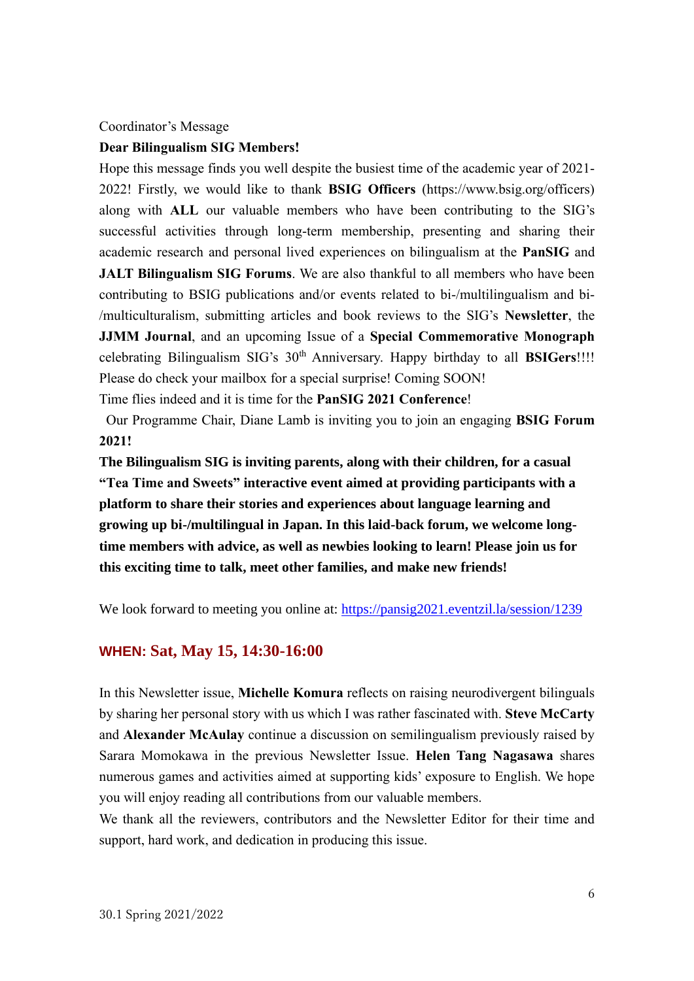#### <span id="page-5-0"></span>Coordinator's Message

#### **Dear Bilingualism SIG Members!**

Hope this message finds you well despite the busiest time of the academic year of 2021- 2022! Firstly, we would like to thank **BSIG Officers** (https://www.bsig.org/officers) along with **ALL** our valuable members who have been contributing to the SIG's successful activities through long-term membership, presenting and sharing their academic research and personal lived experiences on bilingualism at the **PanSIG** and **JALT Bilingualism SIG Forums**. We are also thankful to all members who have been contributing to BSIG publications and/or events related to bi-/multilingualism and bi- /multiculturalism, submitting articles and book reviews to the SIG's **Newsletter**, the **JJMM Journal**, and an upcoming Issue of a **Special Commemorative Monograph**  celebrating Bilingualism SIG's  $30<sup>th</sup>$  Anniversary. Happy birthday to all **BSIGers**!!!! Please do check your mailbox for a special surprise! Coming SOON!

Time flies indeed and it is time for the **PanSIG 2021 Conference**!

Our Programme Chair, Diane Lamb is inviting you to join an engaging **BSIG Forum 2021!**

**The Bilingualism SIG is inviting parents, along with their children, for a casual "Tea Time and Sweets" interactive event aimed at providing participants with a platform to share their stories and experiences about language learning and growing up bi-/multilingual in Japan. In this laid-back forum, we welcome longtime members with advice, as well as newbies looking to learn! Please join us for this exciting time to talk, meet other families, and make new friends!**

We look forward to meeting you online at:<https://pansig2021.eventzil.la/session/1239>

#### **WHEN: Sat, May 15, 14:30-16:00**

In this Newsletter issue, **Michelle Komura** reflects on raising neurodivergent bilinguals by sharing her personal story with us which I was rather fascinated with. **Steve McCarty**  and **Alexander McAulay** continue a discussion on semilingualism previously raised by Sarara Momokawa in the previous Newsletter Issue. **Helen Tang Nagasawa** shares numerous games and activities aimed at supporting kids' exposure to English. We hope you will enjoy reading all contributions from our valuable members.

We thank all the reviewers, contributors and the Newsletter Editor for their time and support, hard work, and dedication in producing this issue.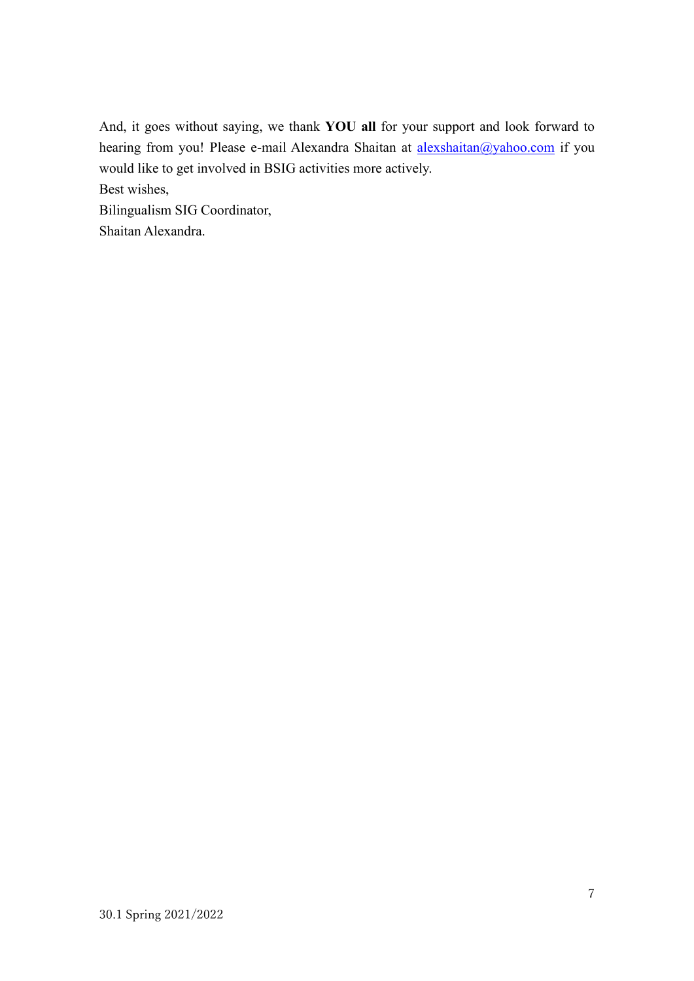And, it goes without saying, we thank **YOU all** for your support and look forward to hearing from you! Please e-mail Alexandra Shaitan at [alexshaitan@yahoo.com](mailto:alexshaitan@yahoo.com) if you would like to get involved in BSIG activities more actively. Best wishes, Bilingualism SIG Coordinator,

Shaitan Alexandra.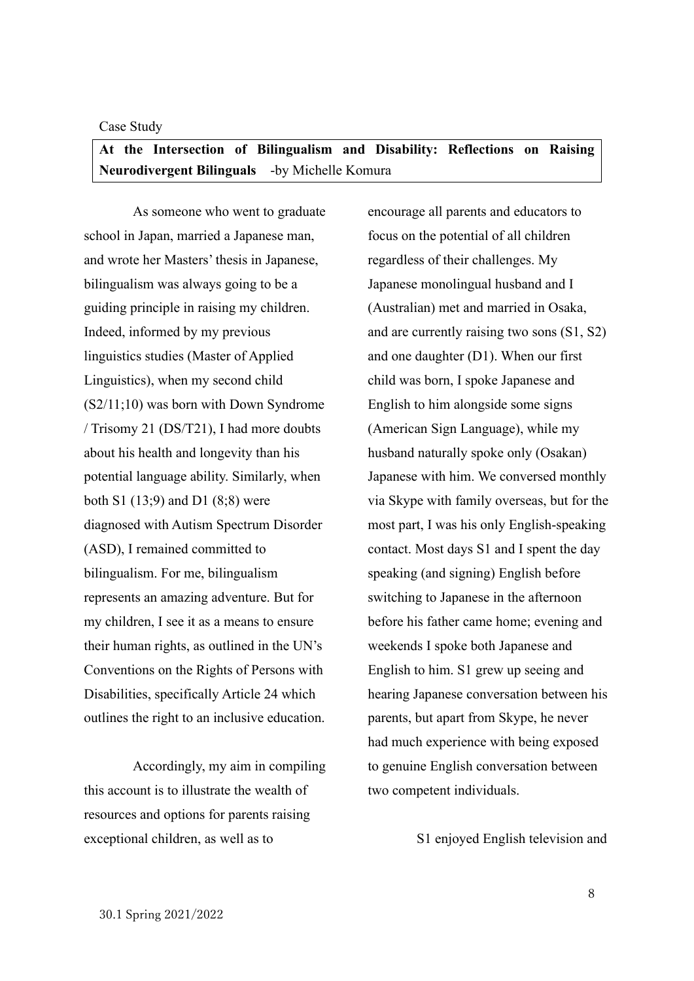#### <span id="page-7-0"></span>Case Study

# <span id="page-7-1"></span>**At the Intersection of Bilingualism and Disability: Reflections on Raising Neurodivergent Bilinguals** -by Michelle Komura

As someone who went to graduate school in Japan, married a Japanese man, and wrote her Masters' thesis in Japanese, bilingualism was always going to be a guiding principle in raising my children. Indeed, informed by my previous linguistics studies (Master of Applied Linguistics), when my second child (S2/11;10) was born with Down Syndrome / Trisomy 21 (DS/T21), I had more doubts about his health and longevity than his potential language ability. Similarly, when both S1 (13;9) and D1 (8;8) were diagnosed with Autism Spectrum Disorder (ASD), I remained committed to bilingualism. For me, bilingualism represents an amazing adventure. But for my children, I see it as a means to ensure their human rights, as outlined in the UN's Conventions on the Rights of Persons with Disabilities, specifically Article 24 which outlines the right to an inclusive education.

Accordingly, my aim in compiling this account is to illustrate the wealth of resources and options for parents raising exceptional children, as well as to

encourage all parents and educators to focus on the potential of all children regardless of their challenges. My Japanese monolingual husband and I (Australian) met and married in Osaka, and are currently raising two sons (S1, S2) and one daughter (D1). When our first child was born, I spoke Japanese and English to him alongside some signs (American Sign Language), while my husband naturally spoke only (Osakan) Japanese with him. We conversed monthly via Skype with family overseas, but for the most part, I was his only English-speaking contact. Most days S1 and I spent the day speaking (and signing) English before switching to Japanese in the afternoon before his father came home; evening and weekends I spoke both Japanese and English to him. S1 grew up seeing and hearing Japanese conversation between his parents, but apart from Skype, he never had much experience with being exposed to genuine English conversation between two competent individuals.

S1 enjoyed English television and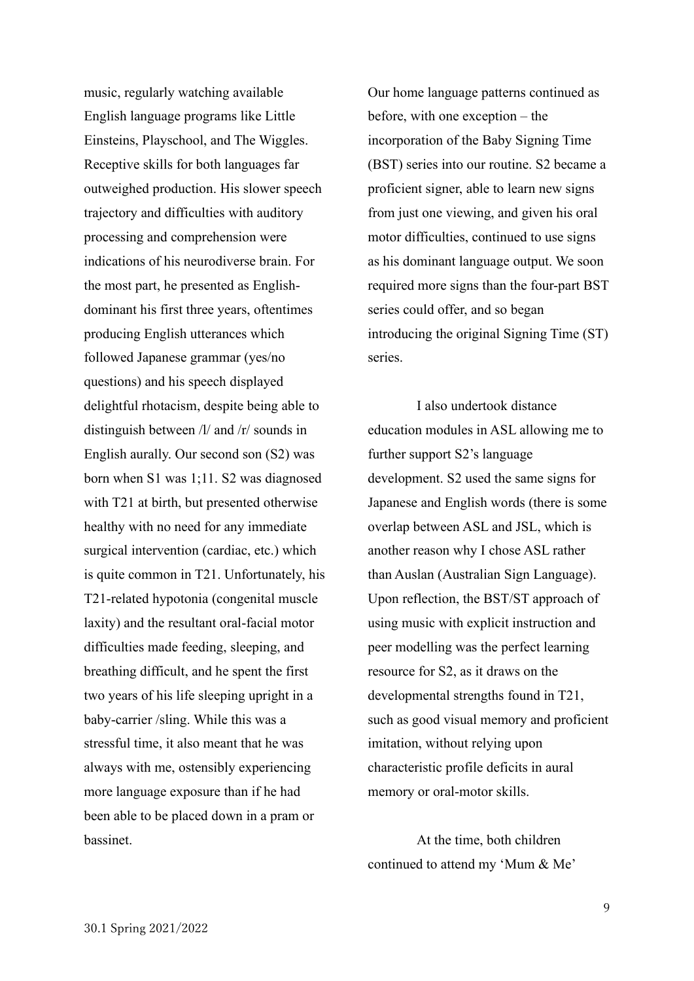music, regularly watching available English language programs like Little Einsteins, Playschool, and The Wiggles. Receptive skills for both languages far outweighed production. His slower speech trajectory and difficulties with auditory processing and comprehension were indications of his neurodiverse brain. For the most part, he presented as Englishdominant his first three years, oftentimes producing English utterances which followed Japanese grammar (yes/no questions) and his speech displayed delightful rhotacism, despite being able to distinguish between /l/ and /r/ sounds in English aurally. Our second son (S2) was born when S1 was 1;11. S2 was diagnosed with T21 at birth, but presented otherwise healthy with no need for any immediate surgical intervention (cardiac, etc.) which is quite common in T21. Unfortunately, his T21-related hypotonia (congenital muscle laxity) and the resultant oral-facial motor difficulties made feeding, sleeping, and breathing difficult, and he spent the first two years of his life sleeping upright in a baby-carrier /sling. While this was a stressful time, it also meant that he was always with me, ostensibly experiencing more language exposure than if he had been able to be placed down in a pram or bassinet.

Our home language patterns continued as before, with one exception – the incorporation of the Baby Signing Time (BST) series into our routine. S2 became a proficient signer, able to learn new signs from just one viewing, and given his oral motor difficulties, continued to use signs as his dominant language output. We soon required more signs than the four-part BST series could offer, and so began introducing the original Signing Time (ST) series.

I also undertook distance education modules in ASL allowing me to further support S2's language development. S2 used the same signs for Japanese and English words (there is some overlap between ASL and JSL, which is another reason why I chose ASL rather than Auslan (Australian Sign Language). Upon reflection, the BST/ST approach of using music with explicit instruction and peer modelling was the perfect learning resource for S2, as it draws on the developmental strengths found in T21, such as good visual memory and proficient imitation, without relying upon characteristic profile deficits in aural memory or oral-motor skills.

At the time, both children continued to attend my 'Mum & Me'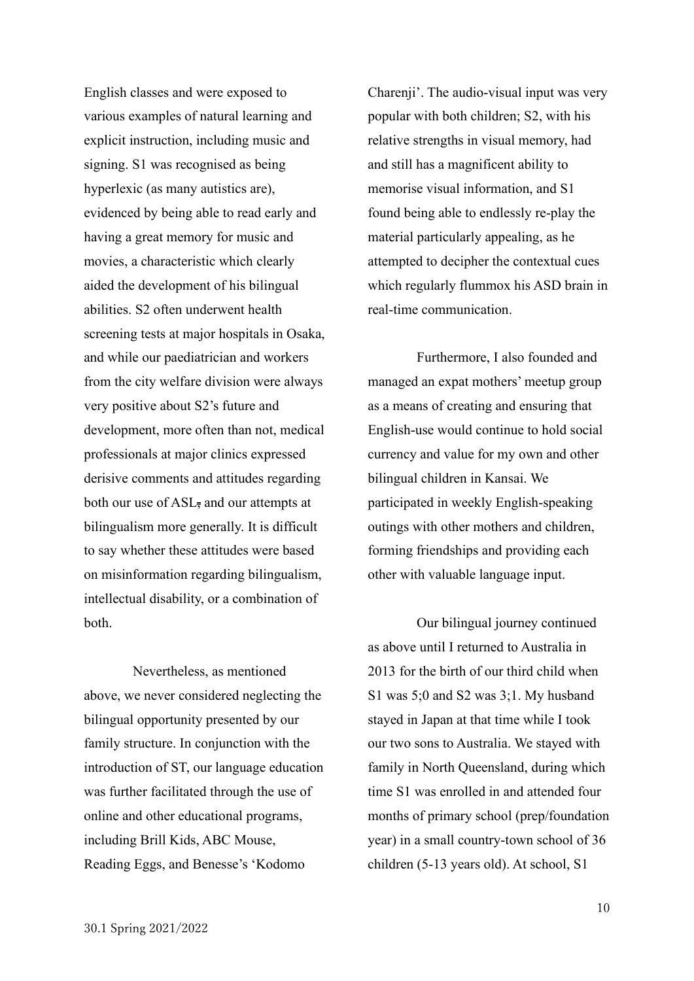English classes and were exposed to various examples of natural learning and explicit instruction, including music and signing. S1 was recognised as being hyperlexic (as many autistics are), evidenced by being able to read early and having a great memory for music and movies, a characteristic which clearly aided the development of his bilingual abilities. S2 often underwent health screening tests at major hospitals in Osaka, and while our paediatrician and workers from the city welfare division were always very positive about S2's future and development, more often than not, medical professionals at major clinics expressed derisive comments and attitudes regarding both our use of  $ASL$ , and our attempts at bilingualism more generally. It is difficult to say whether these attitudes were based on misinformation regarding bilingualism, intellectual disability, or a combination of both.

Nevertheless, as mentioned above, we never considered neglecting the bilingual opportunity presented by our family structure. In conjunction with the introduction of ST, our language education was further facilitated through the use of online and other educational programs, including Brill Kids, ABC Mouse, Reading Eggs, and Benesse's 'Kodomo

Charenji'. The audio-visual input was very popular with both children; S2, with his relative strengths in visual memory, had and still has a magnificent ability to memorise visual information, and S1 found being able to endlessly re-play the material particularly appealing, as he attempted to decipher the contextual cues which regularly flummox his ASD brain in real-time communication.

Furthermore, I also founded and managed an expat mothers' meetup group as a means of creating and ensuring that English-use would continue to hold social currency and value for my own and other bilingual children in Kansai. We participated in weekly English-speaking outings with other mothers and children, forming friendships and providing each other with valuable language input.

Our bilingual journey continued as above until I returned to Australia in 2013 for the birth of our third child when S1 was 5;0 and S2 was 3;1. My husband stayed in Japan at that time while I took our two sons to Australia. We stayed with family in North Queensland, during which time S1 was enrolled in and attended four months of primary school (prep/foundation year) in a small country-town school of 36 children (5-13 years old). At school, S1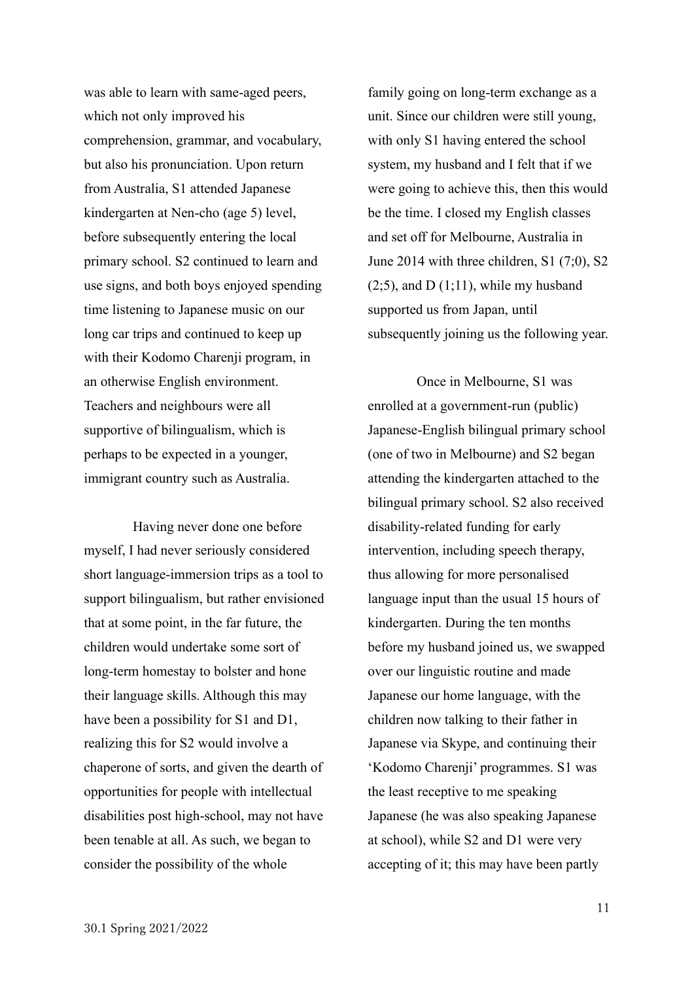was able to learn with same-aged peers, which not only improved his comprehension, grammar, and vocabulary, but also his pronunciation. Upon return from Australia, S1 attended Japanese kindergarten at Nen-cho (age 5) level, before subsequently entering the local primary school. S2 continued to learn and use signs, and both boys enjoyed spending time listening to Japanese music on our long car trips and continued to keep up with their Kodomo Charenji program, in an otherwise English environment. Teachers and neighbours were all supportive of bilingualism, which is perhaps to be expected in a younger, immigrant country such as Australia.

Having never done one before myself, I had never seriously considered short language-immersion trips as a tool to support bilingualism, but rather envisioned that at some point, in the far future, the children would undertake some sort of long-term homestay to bolster and hone their language skills. Although this may have been a possibility for S1 and D1, realizing this for S2 would involve a chaperone of sorts, and given the dearth of opportunities for people with intellectual disabilities post high-school, may not have been tenable at all. As such, we began to consider the possibility of the whole

family going on long-term exchange as a unit. Since our children were still young, with only S1 having entered the school system, my husband and I felt that if we were going to achieve this, then this would be the time. I closed my English classes and set off for Melbourne, Australia in June 2014 with three children, S1 (7;0), S2  $(2;5)$ , and D $(1;11)$ , while my husband supported us from Japan, until subsequently joining us the following year.

Once in Melbourne, S1 was enrolled at a government-run (public) Japanese-English bilingual primary school (one of two in Melbourne) and S2 began attending the kindergarten attached to the bilingual primary school. S2 also received disability-related funding for early intervention, including speech therapy, thus allowing for more personalised language input than the usual 15 hours of kindergarten. During the ten months before my husband joined us, we swapped over our linguistic routine and made Japanese our home language, with the children now talking to their father in Japanese via Skype, and continuing their 'Kodomo Charenji' programmes. S1 was the least receptive to me speaking Japanese (he was also speaking Japanese at school), while S2 and D1 were very accepting of it; this may have been partly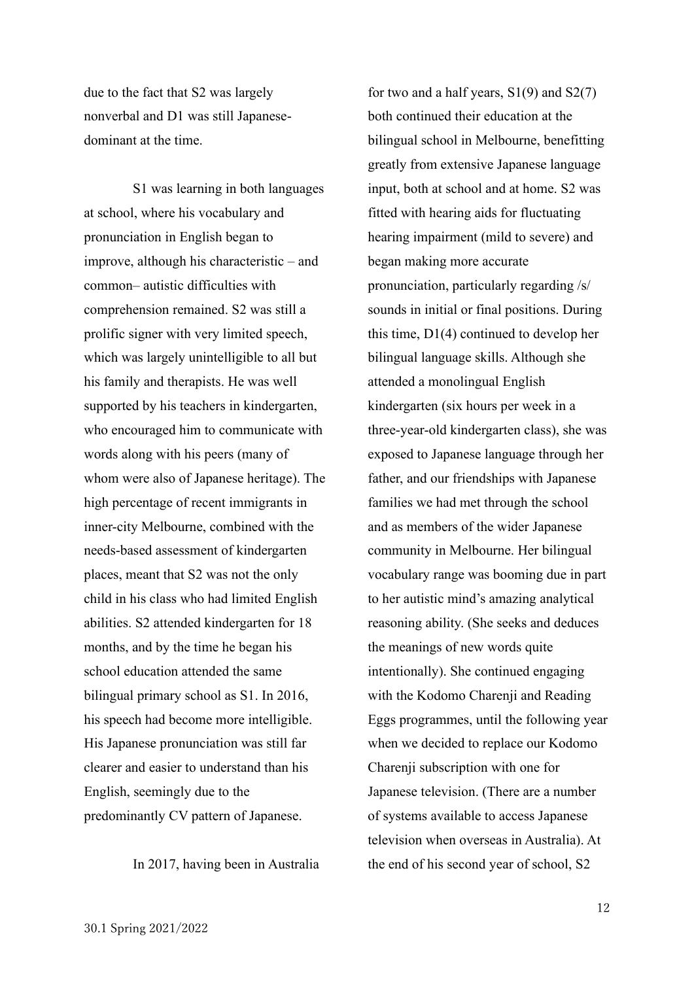due to the fact that S2 was largely nonverbal and D1 was still Japanesedominant at the time.

S1 was learning in both languages at school, where his vocabulary and pronunciation in English began to improve, although his characteristic – and common– autistic difficulties with comprehension remained. S2 was still a prolific signer with very limited speech, which was largely unintelligible to all but his family and therapists. He was well supported by his teachers in kindergarten, who encouraged him to communicate with words along with his peers (many of whom were also of Japanese heritage). The high percentage of recent immigrants in inner-city Melbourne, combined with the needs-based assessment of kindergarten places, meant that S2 was not the only child in his class who had limited English abilities. S2 attended kindergarten for 18 months, and by the time he began his school education attended the same bilingual primary school as S1. In 2016, his speech had become more intelligible. His Japanese pronunciation was still far clearer and easier to understand than his English, seemingly due to the predominantly CV pattern of Japanese.

In 2017, having been in Australia

for two and a half years,  $S1(9)$  and  $S2(7)$ both continued their education at the bilingual school in Melbourne, benefitting greatly from extensive Japanese language input, both at school and at home. S2 was fitted with hearing aids for fluctuating hearing impairment (mild to severe) and began making more accurate pronunciation, particularly regarding /s/ sounds in initial or final positions. During this time, D1(4) continued to develop her bilingual language skills. Although she attended a monolingual English kindergarten (six hours per week in a three-year-old kindergarten class), she was exposed to Japanese language through her father, and our friendships with Japanese families we had met through the school and as members of the wider Japanese community in Melbourne. Her bilingual vocabulary range was booming due in part to her autistic mind's amazing analytical reasoning ability. (She seeks and deduces the meanings of new words quite intentionally). She continued engaging with the Kodomo Charenji and Reading Eggs programmes, until the following year when we decided to replace our Kodomo Charenji subscription with one for Japanese television. (There are a number of systems available to access Japanese television when overseas in Australia). At the end of his second year of school, S2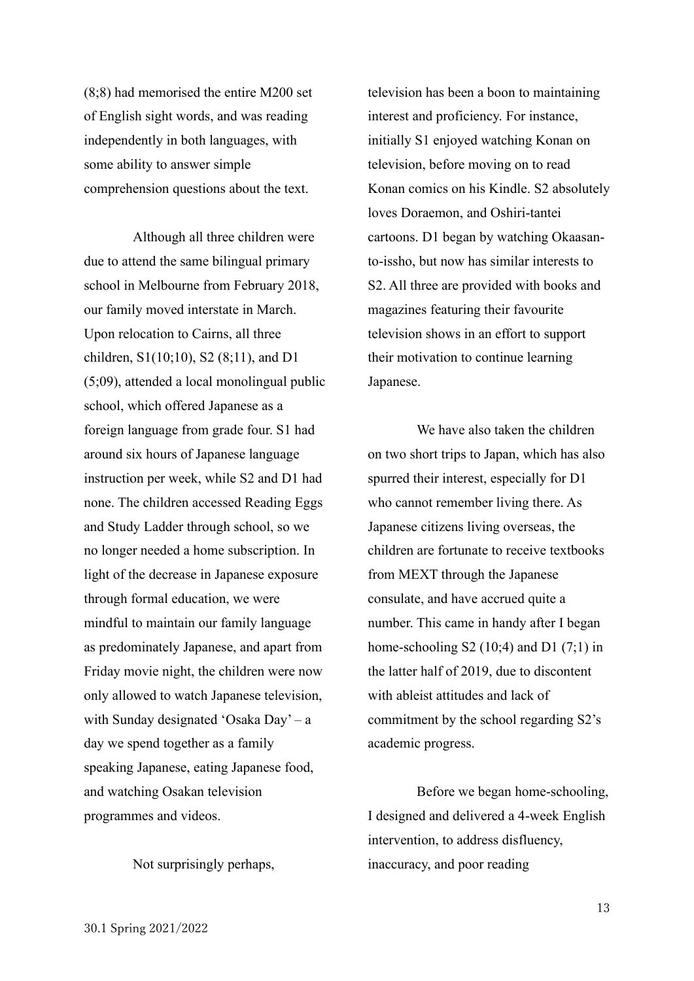(8;8) had memorised the entire M200 set of English sight words, and was reading independently in both languages, with some ability to answer simple comprehension questions about the text.

Although all three children were due to attend the same bilingual primary school in Melbourne from February 2018, our family moved interstate in March. Upon relocation to Cairns, all three children, S1(10;10), S2 (8;11), and D1 (5;09), attended a local monolingual public school, which offered Japanese as a foreign language from grade four. S1 had around six hours of Japanese language instruction per week, while S2 and D1 had none. The children accessed Reading Eggs and Study Ladder through school, so we no longer needed a home subscription. In light of the decrease in Japanese exposure through formal education, we were mindful to maintain our family language as predominately Japanese, and apart from Friday movie night, the children were now only allowed to watch Japanese television, with Sunday designated 'Osaka Day' – a day we spend together as a family speaking Japanese, eating Japanese food, and watching Osakan television programmes and videos.

Not surprisingly perhaps,

television has been a boon to maintaining interest and proficiency. For instance, initially S1 enjoyed watching Konan on television, before moving on to read Konan comics on his Kindle. S2 absolutely loves Doraemon, and Oshiri-tantei cartoons. D1 began by watching Okaasanto-issho, but now has similar interests to S2. All three are provided with books and magazines featuring their favourite television shows in an effort to support their motivation to continue learning Japanese.

We have also taken the children on two short trips to Japan, which has also spurred their interest, especially for D1 who cannot remember living there. As Japanese citizens living overseas, the children are fortunate to receive textbooks from MEXT through the Japanese consulate, and have accrued quite a number. This came in handy after I began home-schooling  $S2(10;4)$  and  $D1(7;1)$  in the latter half of 2019, due to discontent with ableist attitudes and lack of commitment by the school regarding S2's academic progress.

Before we began home-schooling, I designed and delivered a 4-week English intervention, to address disfluency, inaccuracy, and poor reading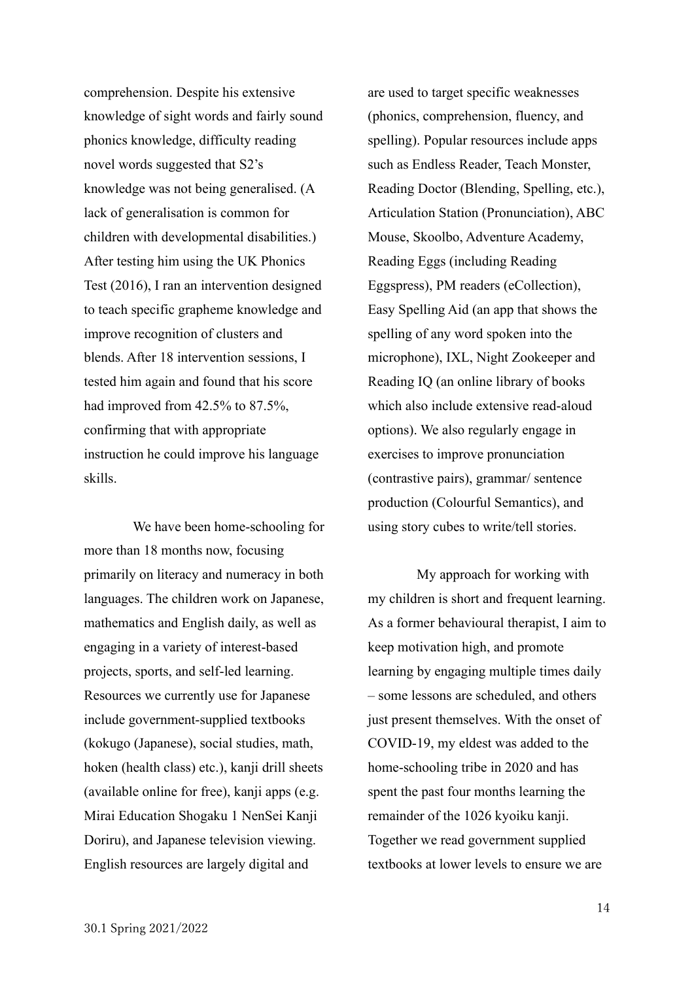comprehension. Despite his extensive knowledge of sight words and fairly sound phonics knowledge, difficulty reading novel words suggested that S2's knowledge was not being generalised. (A lack of generalisation is common for children with developmental disabilities.) After testing him using the UK Phonics Test (2016), I ran an intervention designed to teach specific grapheme knowledge and improve recognition of clusters and blends. After 18 intervention sessions, I tested him again and found that his score had improved from 42.5% to 87.5%, confirming that with appropriate instruction he could improve his language skills.

We have been home-schooling for more than 18 months now, focusing primarily on literacy and numeracy in both languages. The children work on Japanese, mathematics and English daily, as well as engaging in a variety of interest-based projects, sports, and self-led learning. Resources we currently use for Japanese include government-supplied textbooks (kokugo (Japanese), social studies, math, hoken (health class) etc.), kanji drill sheets (available online for free), kanji apps (e.g. Mirai Education Shogaku 1 NenSei Kanji Doriru), and Japanese television viewing. English resources are largely digital and

are used to target specific weaknesses (phonics, comprehension, fluency, and spelling). Popular resources include apps such as Endless Reader, Teach Monster, Reading Doctor (Blending, Spelling, etc.), Articulation Station (Pronunciation), ABC Mouse, Skoolbo, Adventure Academy, Reading Eggs (including Reading Eggspress), PM readers (eCollection), Easy Spelling Aid (an app that shows the spelling of any word spoken into the microphone), IXL, Night Zookeeper and Reading IQ (an online library of books which also include extensive read-aloud options). We also regularly engage in exercises to improve pronunciation (contrastive pairs), grammar/ sentence production (Colourful Semantics), and using story cubes to write/tell stories.

My approach for working with my children is short and frequent learning. As a former behavioural therapist, I aim to keep motivation high, and promote learning by engaging multiple times daily – some lessons are scheduled, and others just present themselves. With the onset of COVID-19, my eldest was added to the home-schooling tribe in 2020 and has spent the past four months learning the remainder of the 1026 kyoiku kanji. Together we read government supplied textbooks at lower levels to ensure we are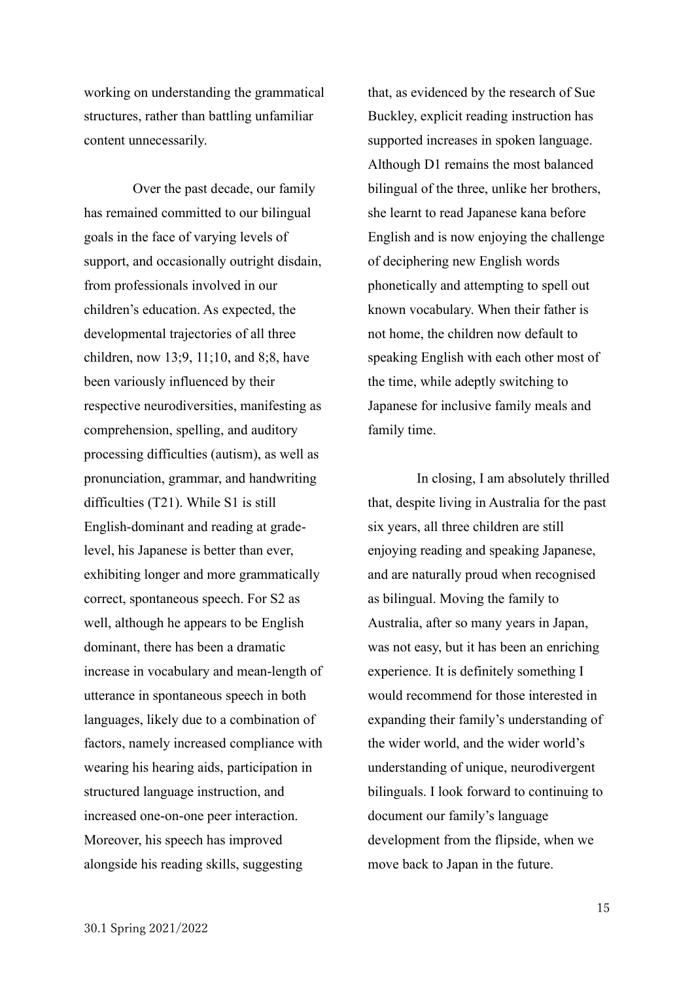working on understanding the grammatical structures, rather than battling unfamiliar content unnecessarily.

Over the past decade, our family has remained committed to our bilingual goals in the face of varying levels of support, and occasionally outright disdain, from professionals involved in our children's education. As expected, the developmental trajectories of all three children, now 13;9, 11;10, and 8;8, have been variously influenced by their respective neurodiversities, manifesting as comprehension, spelling, and auditory processing difficulties (autism), as well as pronunciation, grammar, and handwriting difficulties (T21). While S1 is still English-dominant and reading at gradelevel, his Japanese is better than ever, exhibiting longer and more grammatically correct, spontaneous speech. For S2 as well, although he appears to be English dominant, there has been a dramatic increase in vocabulary and mean-length of utterance in spontaneous speech in both languages, likely due to a combination of factors, namely increased compliance with wearing his hearing aids, participation in structured language instruction, and increased one-on-one peer interaction. Moreover, his speech has improved alongside his reading skills, suggesting

that, as evidenced by the research of Sue Buckley, explicit reading instruction has supported increases in spoken language. Although D1 remains the most balanced bilingual of the three, unlike her brothers, she learnt to read Japanese kana before English and is now enjoying the challenge of deciphering new English words phonetically and attempting to spell out known vocabulary. When their father is not home, the children now default to speaking English with each other most of the time, while adeptly switching to Japanese for inclusive family meals and family time.

In closing, I am absolutely thrilled that, despite living in Australia for the past six years, all three children are still enjoying reading and speaking Japanese, and are naturally proud when recognised as bilingual. Moving the family to Australia, after so many years in Japan, was not easy, but it has been an enriching experience. It is definitely something I would recommend for those interested in expanding their family's understanding of the wider world, and the wider world's understanding of unique, neurodivergent bilinguals. I look forward to continuing to document our family's language development from the flipside, when we move back to Japan in the future.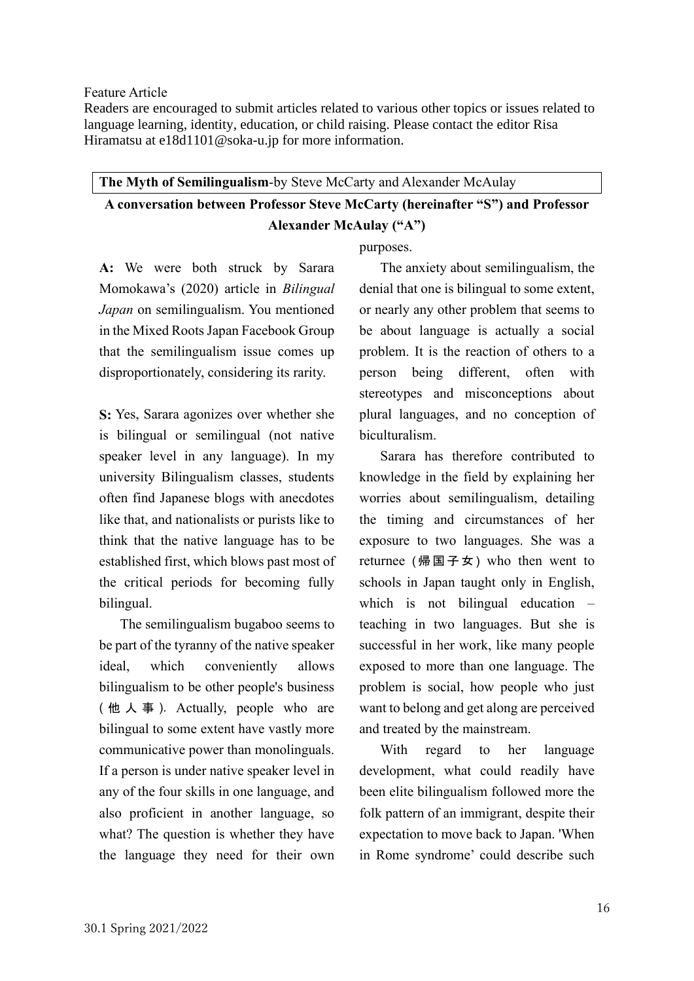<span id="page-15-0"></span>Feature Article

Readers are encouraged to submit articles related to various other topics or issues related to language learning, identity, education, or child raising. Please contact the editor Risa Hiramatsu at [e18d1101@soka-u.jp](mailto:e18d1101@soka-u.jp) for more information.

# <span id="page-15-1"></span>**The Myth of Semilingualism**-by Steve McCarty and Alexander McAulay **A conversation between Professor Steve McCarty (hereinafter "S") and Professor Alexander McAulay ("A")**

purposes.

**A:** We were both struck by Sarara Momokawa's (2020) article in *Bilingual Japan* on semilingualism. You mentioned in the Mixed Roots Japan Facebook Group that the semilingualism issue comes up disproportionately, considering its rarity.

**S:** Yes, Sarara agonizes over whether she is bilingual or semilingual (not native speaker level in any language). In my university Bilingualism classes, students often find Japanese blogs with anecdotes like that, and nationalists or purists like to think that the native language has to be established first, which blows past most of the critical periods for becoming fully bilingual.

The semilingualism bugaboo seems to be part of the tyranny of the native speaker ideal, which conveniently allows bilingualism to be other people's business ( 他 人 事 ). Actually, people who are bilingual to some extent have vastly more communicative power than monolinguals. If a person is under native speaker level in any of the four skills in one language, and also proficient in another language, so what? The question is whether they have the language they need for their own

The anxiety about semilingualism, the denial that one is bilingual to some extent, or nearly any other problem that seems to be about language is actually a social problem. It is the reaction of others to a person being different, often with stereotypes and misconceptions about plural languages, and no conception of biculturalism.

Sarara has therefore contributed to knowledge in the field by explaining her worries about semilingualism, detailing the timing and circumstances of her exposure to two languages. She was a returnee  $($ 帰国子女 ) who then went to schools in Japan taught only in English, which is not bilingual education – teaching in two languages. But she is successful in her work, like many people exposed to more than one language. The problem is social, how people who just want to belong and get along are perceived and treated by the mainstream.

With regard to her language development, what could readily have been elite bilingualism followed more the folk pattern of an immigrant, despite their expectation to move back to Japan. 'When in Rome syndrome' could describe such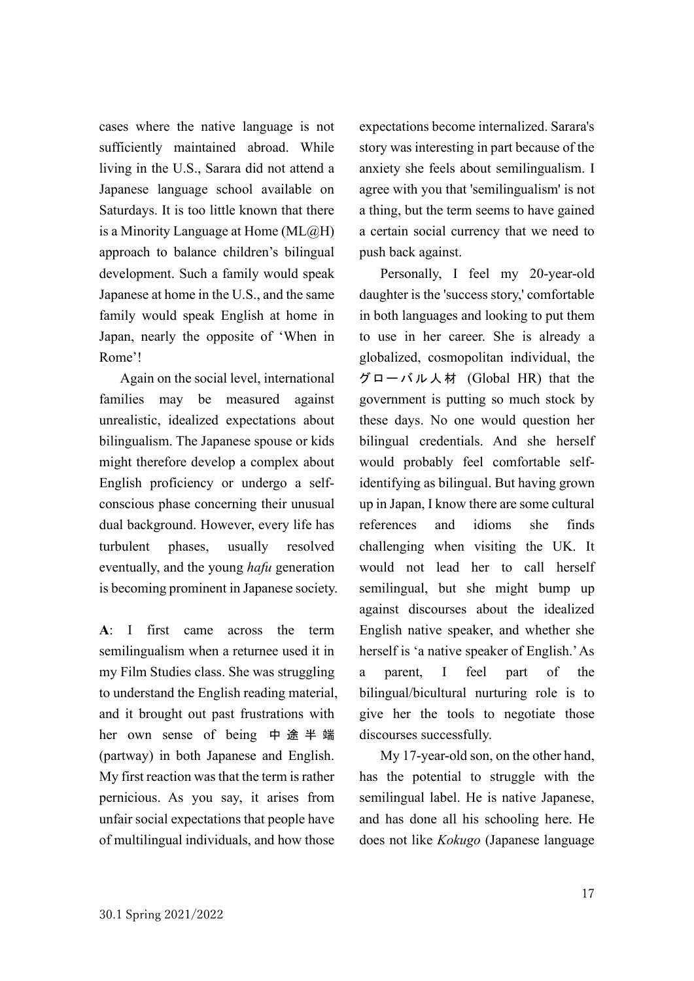cases where the native language is not sufficiently maintained abroad. While living in the U.S., Sarara did not attend a Japanese language school available on Saturdays. It is too little known that there is a Minority Language at Home  $(ML@H)$ approach to balance children's bilingual development. Such a family would speak Japanese at home in the U.S., and the same family would speak English at home in Japan, nearly the opposite of 'When in Rome'!

Again on the social level, international families may be measured against unrealistic, idealized expectations about bilingualism. The Japanese spouse or kids might therefore develop a complex about English proficiency or undergo a selfconscious phase concerning their unusual dual background. However, every life has turbulent phases, usually resolved eventually, and the young *hafu* generation is becoming prominent in Japanese society.

**A**: I first came across the term semilingualism when a returnee used it in my Film Studies class. She was struggling to understand the English reading material, and it brought out past frustrations with her own sense of being 中途半端 (partway) in both Japanese and English. My first reaction was that the term is rather pernicious. As you say, it arises from unfair social expectations that people have of multilingual individuals, and how those

expectations become internalized. Sarara's story was interesting in part because of the anxiety she feels about semilingualism. I agree with you that 'semilingualism' is not a thing, but the term seems to have gained a certain social currency that we need to push back against.

 Personally, I feel my 20-year-old daughter is the 'success story,' comfortable in both languages and looking to put them to use in her career. She is already a globalized, cosmopolitan individual, the グローバル人材 (Global HR) that the government is putting so much stock by these days. No one would question her bilingual credentials. And she herself would probably feel comfortable selfidentifying as bilingual. But having grown up in Japan, I know there are some cultural references and idioms she finds challenging when visiting the UK. It would not lead her to call herself semilingual, but she might bump up against discourses about the idealized English native speaker, and whether she herself is 'a native speaker of English.' As a parent, I feel part of the bilingual/bicultural nurturing role is to give her the tools to negotiate those discourses successfully.

My 17-year-old son, on the other hand, has the potential to struggle with the semilingual label. He is native Japanese, and has done all his schooling here. He does not like *Kokugo* (Japanese language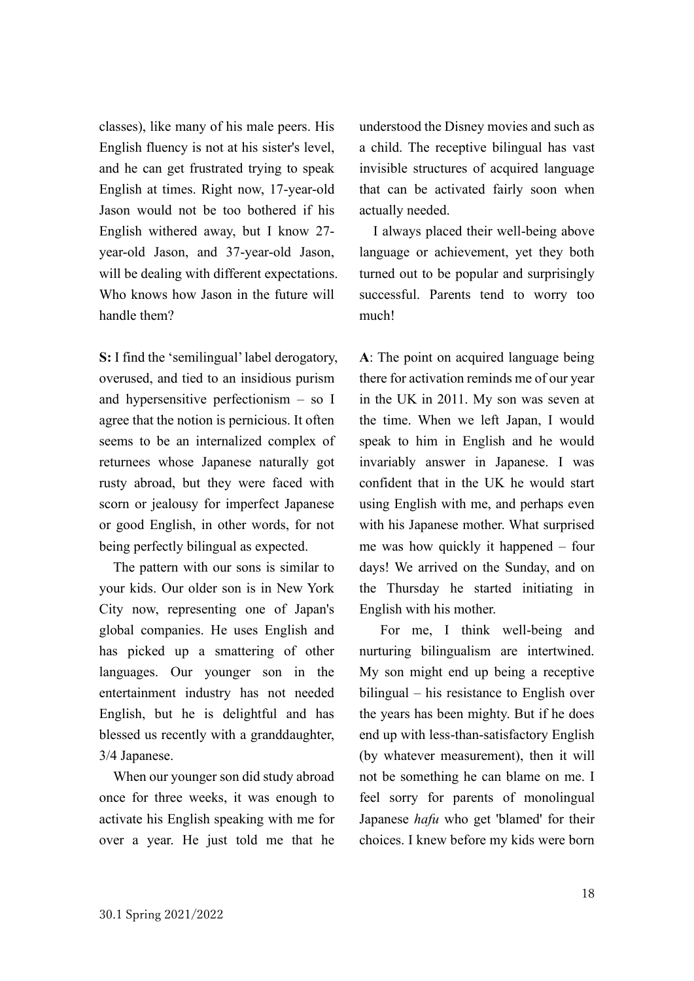classes), like many of his male peers. His English fluency is not at his sister's level, and he can get frustrated trying to speak English at times. Right now, 17-year-old Jason would not be too bothered if his English withered away, but I know 27 year-old Jason, and 37-year-old Jason, will be dealing with different expectations. Who knows how Jason in the future will handle them?

**S:** I find the 'semilingual' label derogatory, overused, and tied to an insidious purism and hypersensitive perfectionism – so I agree that the notion is pernicious. It often seems to be an internalized complex of returnees whose Japanese naturally got rusty abroad, but they were faced with scorn or jealousy for imperfect Japanese or good English, in other words, for not being perfectly bilingual as expected.

The pattern with our sons is similar to your kids. Our older son is in New York City now, representing one of Japan's global companies. He uses English and has picked up a smattering of other languages. Our younger son in the entertainment industry has not needed English, but he is delightful and has blessed us recently with a granddaughter, 3/4 Japanese.

When our younger son did study abroad once for three weeks, it was enough to activate his English speaking with me for over a year. He just told me that he understood the Disney movies and such as a child. The receptive bilingual has vast invisible structures of acquired language that can be activated fairly soon when actually needed.

I always placed their well-being above language or achievement, yet they both turned out to be popular and surprisingly successful. Parents tend to worry too much!

**A**: The point on acquired language being there for activation reminds me of our year in the UK in 2011. My son was seven at the time. When we left Japan, I would speak to him in English and he would invariably answer in Japanese. I was confident that in the UK he would start using English with me, and perhaps even with his Japanese mother. What surprised me was how quickly it happened – four days! We arrived on the Sunday, and on the Thursday he started initiating in English with his mother.

 For me, I think well-being and nurturing bilingualism are intertwined. My son might end up being a receptive bilingual – his resistance to English over the years has been mighty. But if he does end up with less-than-satisfactory English (by whatever measurement), then it will not be something he can blame on me. I feel sorry for parents of monolingual Japanese *hafu* who get 'blamed' for their choices. I knew before my kids were born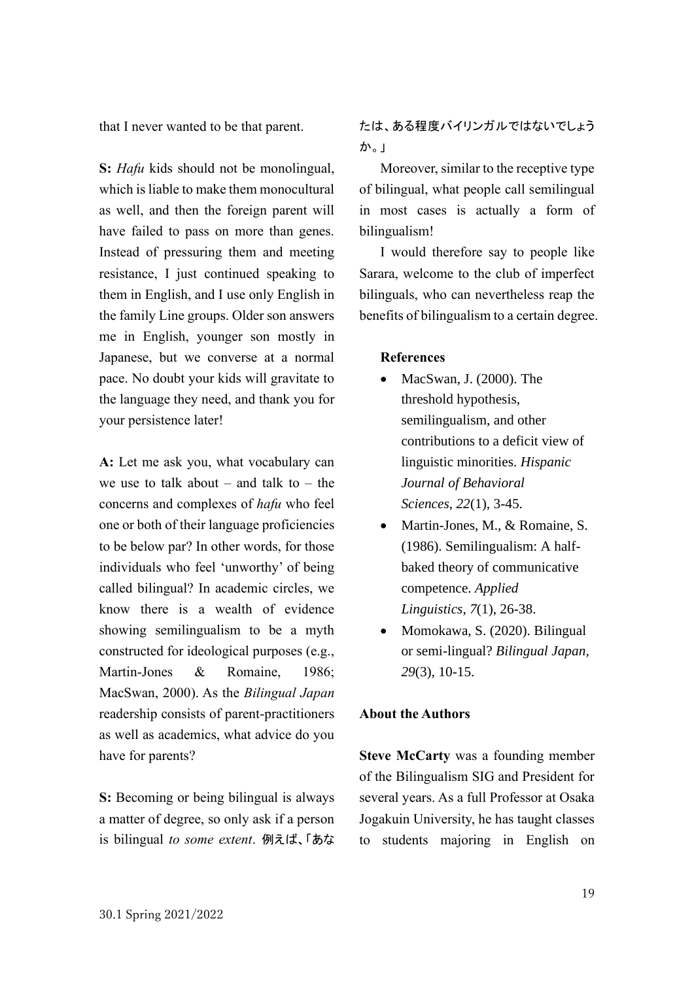that I never wanted to be that parent.

**S:** *Hafu* kids should not be monolingual, which is liable to make them monocultural as well, and then the foreign parent will have failed to pass on more than genes. Instead of pressuring them and meeting resistance, I just continued speaking to them in English, and I use only English in the family Line groups. Older son answers me in English, younger son mostly in Japanese, but we converse at a normal pace. No doubt your kids will gravitate to the language they need, and thank you for your persistence later!

**A:** Let me ask you, what vocabulary can we use to talk about – and talk to – the concerns and complexes of *hafu* who feel one or both of their language proficiencies to be below par? In other words, for those individuals who feel 'unworthy' of being called bilingual? In academic circles, we know there is a wealth of evidence showing semilingualism to be a myth constructed for ideological purposes (e.g., Martin-Jones  $\&$  Romaine, 1986; MacSwan, 2000). As the *Bilingual Japan*  readership consists of parent-practitioners as well as academics, what advice do you have for parents?

**S:** Becoming or being bilingual is always a matter of degree, so only ask if a person is bilingual *to some extent*. 例えば、「あな たは、ある程度バイリンガルではないでしょう か。」

Moreover, similar to the receptive type of bilingual, what people call semilingual in most cases is actually a form of bilingualism!

I would therefore say to people like Sarara, welcome to the club of imperfect bilinguals, who can nevertheless reap the benefits of bilingualism to a certain degree.

#### **References**

- MacSwan, J. (2000). The threshold hypothesis, semilingualism, and other contributions to a deficit view of linguistic minorities. *Hispanic Journal of Behavioral Sciences*, *22*(1), 3-45.
- Martin-Jones, M., & Romaine, S. (1986). Semilingualism: A halfbaked theory of communicative competence. *Applied Linguistics*, *7*(1), 26-38.
- Momokawa, S. (2020). Bilingual or semi-lingual? *Bilingual Japan, 29*(3), 10-15.

#### **About the Authors**

**Steve McCarty** was a founding member of the Bilingualism SIG and President for several years. As a full Professor at Osaka Jogakuin University, he has taught classes to students majoring in English on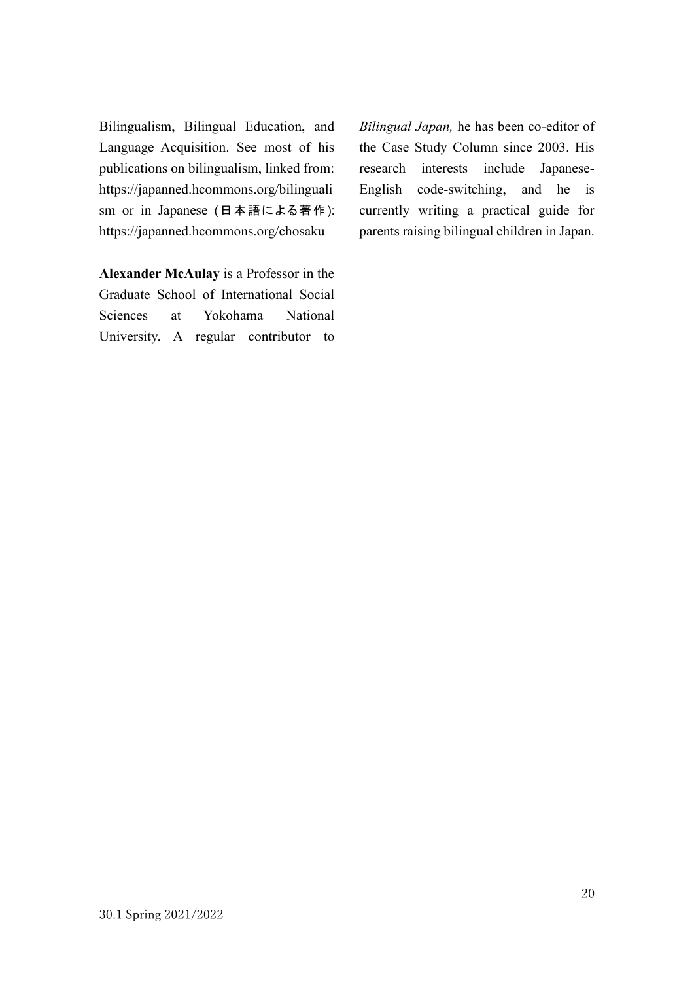Bilingualism, Bilingual Education, and Language Acquisition. See most of his publications on bilingualism, linked from: [https://japanned.hcommons.org/bilinguali](https://japanned.hcommons.org/bilingualism) [sm](https://japanned.hcommons.org/bilingualism) or in Japanese (日本語による著作): <https://japanned.hcommons.org/chosaku>

**Alexander McAulay** is a Professor in the Graduate School of International Social Sciences at Yokohama National University. A regular contributor to

*Bilingual Japan,* he has been co-editor of the Case Study Column since 2003. His research interests include Japanese-English code-switching, and he is currently writing a practical guide for parents raising bilingual children in Japan.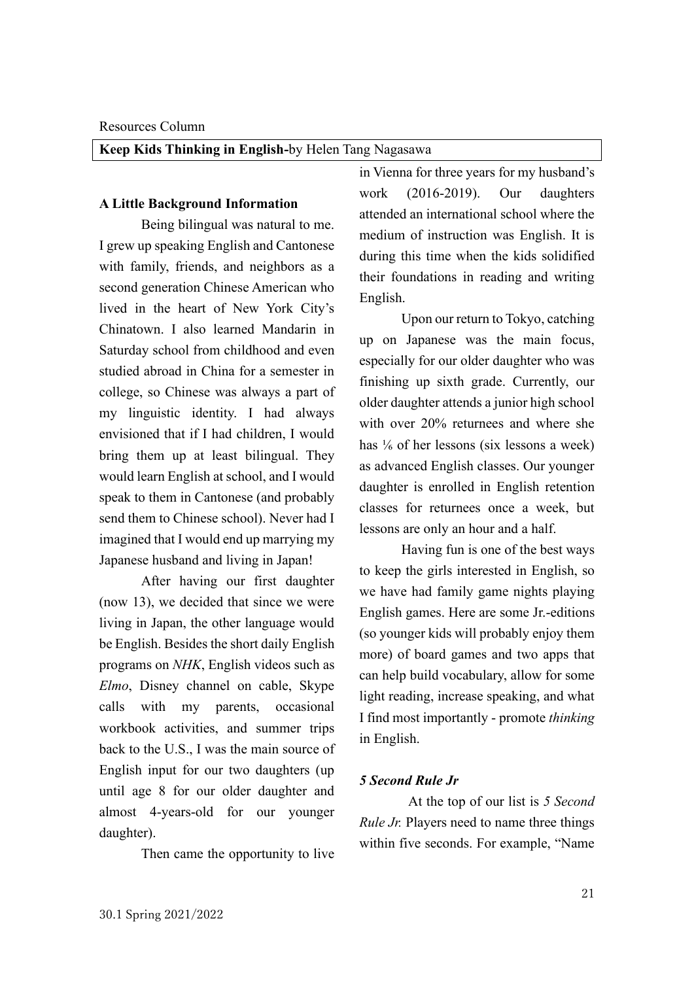<span id="page-20-1"></span><span id="page-20-0"></span>**Keep Kids Thinking in English-**by Helen Tang Nagasawa

#### **A Little Background Information**

Being bilingual was natural to me. I grew up speaking English and Cantonese with family, friends, and neighbors as a second generation Chinese American who lived in the heart of New York City's Chinatown. I also learned Mandarin in Saturday school from childhood and even studied abroad in China for a semester in college, so Chinese was always a part of my linguistic identity. I had always envisioned that if I had children, I would bring them up at least bilingual. They would learn English at school, and I would speak to them in Cantonese (and probably send them to Chinese school). Never had I imagined that I would end up marrying my Japanese husband and living in Japan!

After having our first daughter (now 13), we decided that since we were living in Japan, the other language would be English. Besides the short daily English programs on *NHK*, English videos such as *Elmo*, Disney channel on cable, Skype calls with my parents, occasional workbook activities, and summer trips back to the U.S., I was the main source of English input for our two daughters (up until age 8 for our older daughter and almost 4-years-old for our younger daughter).

Then came the opportunity to live

in Vienna for three years for my husband's work (2016-2019). Our daughters attended an international school where the medium of instruction was English. It is during this time when the kids solidified their foundations in reading and writing English.

Upon our return to Tokyo, catching up on Japanese was the main focus, especially for our older daughter who was finishing up sixth grade. Currently, our older daughter attends a junior high school with over 20% returnees and where she has <sup>1</sup>/<sub>6</sub> of her lessons (six lessons a week) as advanced English classes. Our younger daughter is enrolled in English retention classes for returnees once a week, but lessons are only an hour and a half.

Having fun is one of the best ways to keep the girls interested in English, so we have had family game nights playing English games. Here are some Jr.-editions (so younger kids will probably enjoy them more) of board games and two apps that can help build vocabulary, allow for some light reading, increase speaking, and what I find most importantly - promote *thinking* in English.

#### *5 Second Rule Jr*

At the top of our list is *5 Second Rule Jr.* Players need to name three things within five seconds. For example, "Name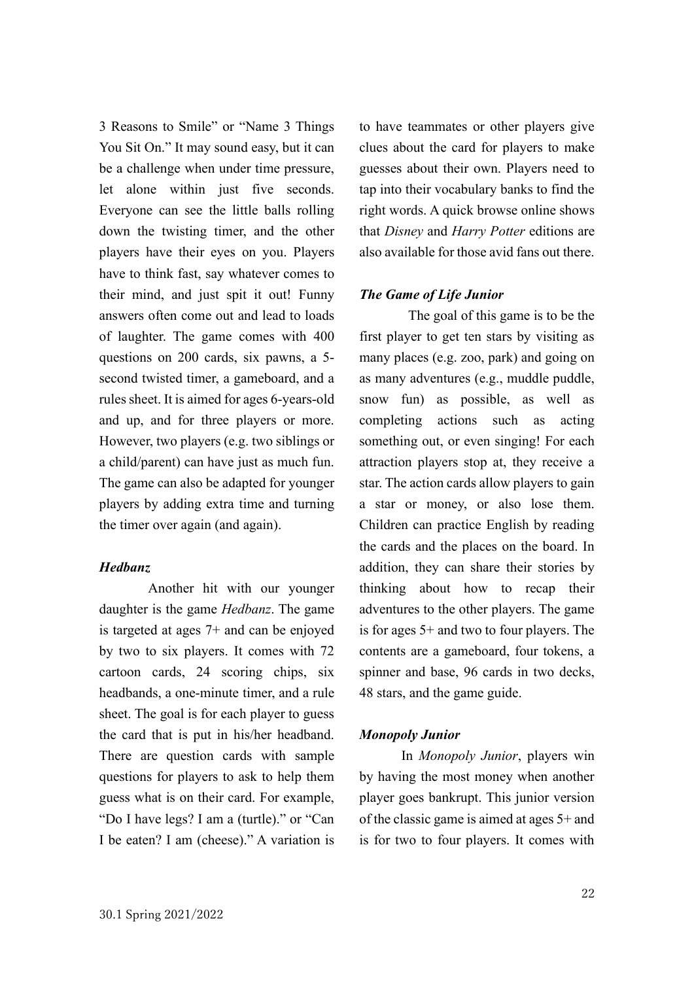3 Reasons to Smile" or "Name 3 Things You Sit On." It may sound easy, but it can be a challenge when under time pressure, let alone within just five seconds. Everyone can see the little balls rolling down the twisting timer, and the other players have their eyes on you. Players have to think fast, say whatever comes to their mind, and just spit it out! Funny answers often come out and lead to loads of laughter. The game comes with 400 questions on 200 cards, six pawns, a 5 second twisted timer, a gameboard, and a rules sheet. It is aimed for ages 6-years-old and up, and for three players or more. However, two players (e.g. two siblings or a child/parent) can have just as much fun. The game can also be adapted for younger players by adding extra time and turning the timer over again (and again).

#### *Hedbanz*

Another hit with our younger daughter is the game *Hedbanz*. The game is targeted at ages 7+ and can be enjoyed by two to six players. It comes with 72 cartoon cards, 24 scoring chips, six headbands, a one-minute timer, and a rule sheet. The goal is for each player to guess the card that is put in his/her headband. There are question cards with sample questions for players to ask to help them guess what is on their card. For example, "Do I have legs? I am a (turtle)." or "Can I be eaten? I am (cheese)." A variation is

to have teammates or other players give clues about the card for players to make guesses about their own. Players need to tap into their vocabulary banks to find the right words. A quick browse online shows that *Disney* and *Harry Potter* editions are also available for those avid fans out there.

#### *The Game of Life Junior*

The goal of this game is to be the first player to get ten stars by visiting as many places (e.g. zoo, park) and going on as many adventures (e.g., muddle puddle, snow fun) as possible, as well as completing actions such as acting something out, or even singing! For each attraction players stop at, they receive a star. The action cards allow players to gain a star or money, or also lose them. Children can practice English by reading the cards and the places on the board. In addition, they can share their stories by thinking about how to recap their adventures to the other players. The game is for ages 5+ and two to four players. The contents are a gameboard, four tokens, a spinner and base, 96 cards in two decks, 48 stars, and the game guide.

#### *Monopoly Junior*

In *Monopoly Junior*, players win by having the most money when another player goes bankrupt. This junior version of the classic game is aimed at ages 5+ and is for two to four players. It comes with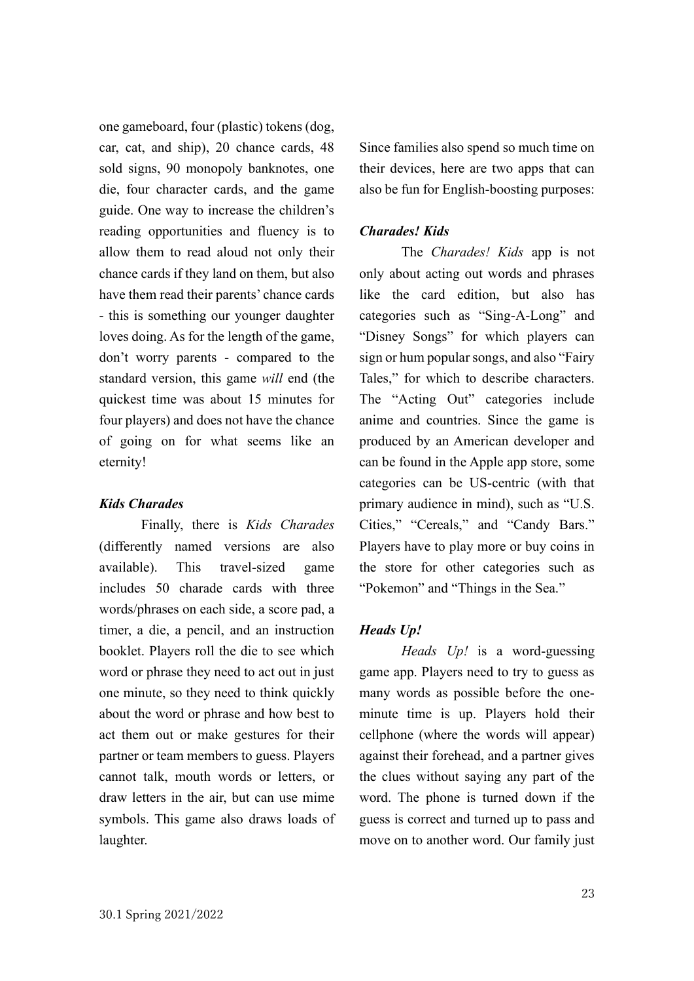one gameboard, four (plastic) tokens (dog, car, cat, and ship), 20 chance cards, 48 sold signs, 90 monopoly banknotes, one die, four character cards, and the game guide. One way to increase the children's reading opportunities and fluency is to allow them to read aloud not only their chance cards if they land on them, but also have them read their parents' chance cards - this is something our younger daughter loves doing. As for the length of the game, don't worry parents - compared to the standard version, this game *will* end (the quickest time was about 15 minutes for four players) and does not have the chance of going on for what seems like an eternity!

#### *Kids Charades*

Finally, there is *Kids Charades*  (differently named versions are also available). This travel-sized game includes 50 charade cards with three words/phrases on each side, a score pad, a timer, a die, a pencil, and an instruction booklet. Players roll the die to see which word or phrase they need to act out in just one minute, so they need to think quickly about the word or phrase and how best to act them out or make gestures for their partner or team members to guess. Players cannot talk, mouth words or letters, or draw letters in the air, but can use mime symbols. This game also draws loads of laughter.

Since families also spend so much time on their devices, here are two apps that can also be fun for English-boosting purposes:

#### *Charades! Kids*

The *Charades! Kids* app is not only about acting out words and phrases like the card edition, but also has categories such as "Sing-A-Long" and "Disney Songs" for which players can sign or hum popular songs, and also "Fairy Tales," for which to describe characters. The "Acting Out" categories include anime and countries. Since the game is produced by an American developer and can be found in the Apple app store, some categories can be US-centric (with that primary audience in mind), such as "U.S. Cities," "Cereals," and "Candy Bars." Players have to play more or buy coins in the store for other categories such as "Pokemon" and "Things in the Sea."

#### *Heads Up!*

*Heads Up!* is a word-guessing game app. Players need to try to guess as many words as possible before the oneminute time is up. Players hold their cellphone (where the words will appear) against their forehead, and a partner gives the clues without saying any part of the word. The phone is turned down if the guess is correct and turned up to pass and move on to another word. Our family just